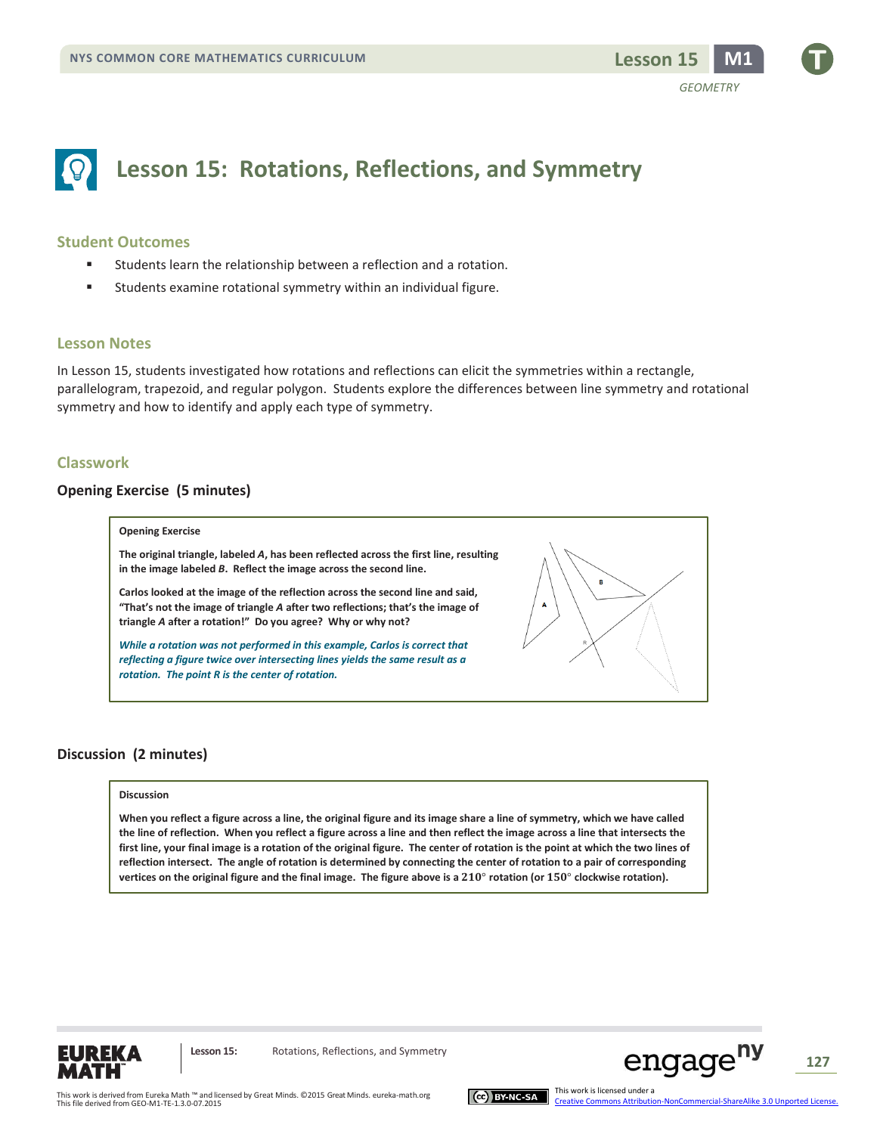

# **Lesson 15: Rotations, Reflections, and Symmetry**

#### **Student Outcomes**

- Students learn the relationship between a reflection and a rotation.
- Students examine rotational symmetry within an individual figure.

#### **Lesson Notes**

In Lesson 15, students investigated how rotations and reflections can elicit the symmetries within a rectangle, parallelogram, trapezoid, and regular polygon. Students explore the differences between line symmetry and rotational symmetry and how to identify and apply each type of symmetry.

#### **Classwork**

#### **Opening Exercise (5 minutes)**

#### **Opening Exercise**

**The original triangle, labeled** *A***, has been reflected across the first line, resulting in the image labeled** *B***. Reflect the image across the second line.** 

**Carlos looked at the image of the reflection across the second line and said, "That's not the image of triangle** *A* **after two reflections; that's the image of triangle** *A* **after a rotation!" Do you agree? Why or why not?**

*While a rotation was not performed in this example, Carlos is correct that reflecting a figure twice over intersecting lines yields the same result as a rotation. The point R is the center of rotation.*



#### **Discussion (2 minutes)**

#### **Discussion**

**When you reflect a figure across a line, the original figure and its image share a line of symmetry, which we have called the line of reflection. When you reflect a figure across a line and then reflect the image across a line that intersects the first line, your final image is a rotation of the original figure. The center of rotation is the point at which the two lines of reflection intersect. The angle of rotation is determined by connecting the center of rotation to a pair of corresponding**  vertices on the original figure and the final image. The figure above is a 210° rotation (or 150° clockwise rotation).



Lesson 15: Rotations, Reflections, and Symmetry



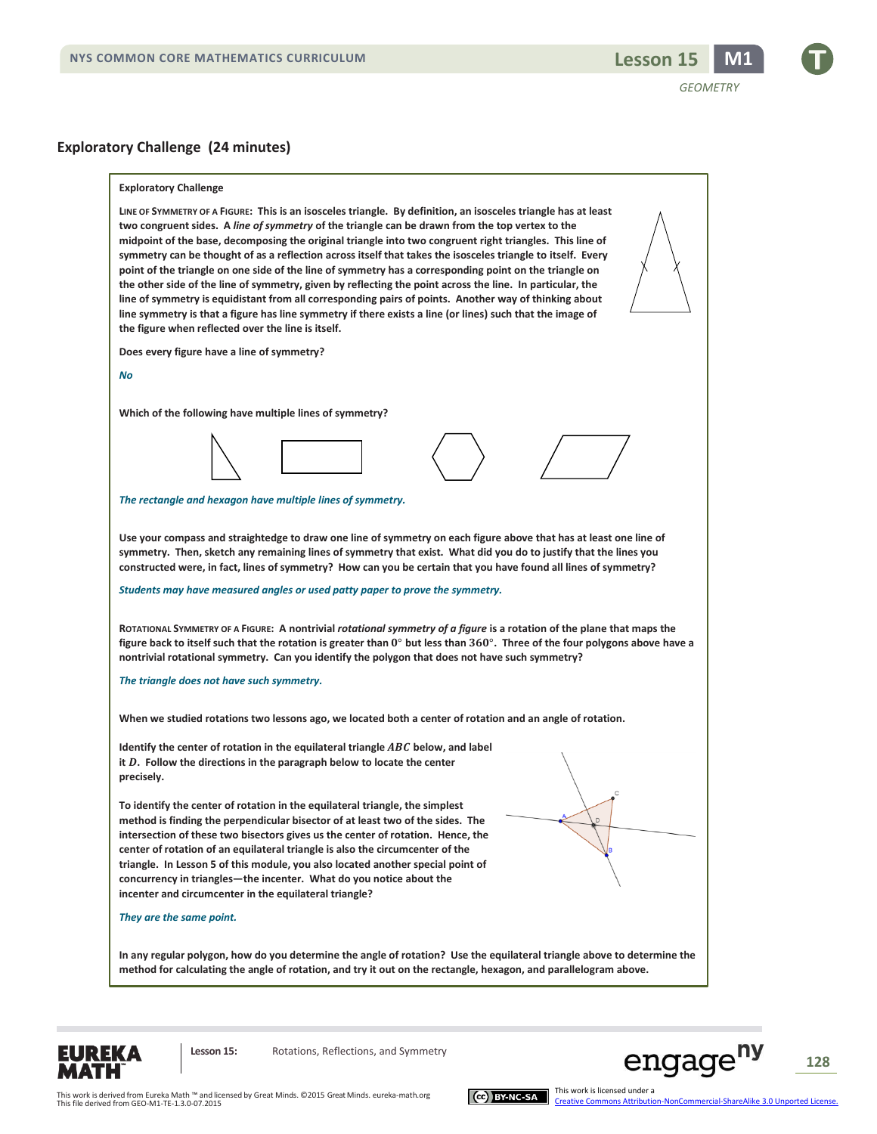

*GEOMETRY*





Lesson 15: Rotations, Reflections, and Symmetry



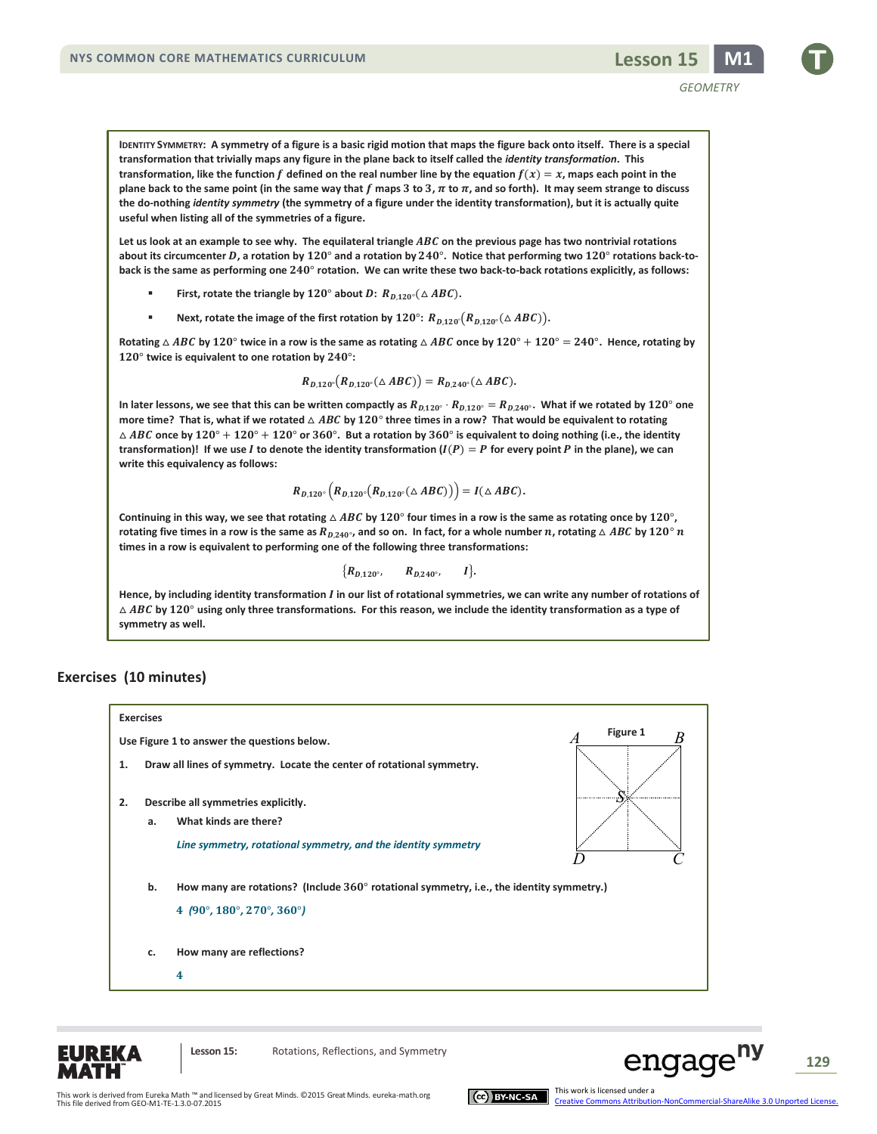**useful when listing all of the symmetries of a figure.** 

Let us look at an example to see why. The equilateral triangle ABC on the previous page has two nontrivial rotations about its circumcenter D, a rotation by 120° and a rotation by 240°. Notice that performing two 120° rotations back-toback is the same as performing one  $240^\circ$  rotation. We can write these two back-to-back rotations explicitly, as follows:

- **First, rotate the triangle by 120° about**  $D: R_{D,120^{\circ}}(\triangle ABC)$ **.**
- **Next, rotate the image of the first rotation by**  $120^\circ$ **:**  $R_{D,120^\circ}(R_{D,120^\circ}(\triangle ABC)).$

Rotating  $\triangle$  ABC by 120° twice in a row is the same as rotating  $\triangle$  ABC once by 120° + 120° = 240°. Hence, rotating by  $120^\circ$  twice is equivalent to one rotation by  $240^\circ$ :

$$
R_{D,120^{\circ}}(R_{D,120^{\circ}}(\triangle ABC))=R_{D,240^{\circ}}(\triangle ABC).
$$

In later lessons, we see that this can be written compactly as  $R_{D,120^\circ} \cdot R_{D,120^\circ}=R_{D,240^\circ}.$  What if we rotated by  $120^\circ$  one more time? That is, what if we rotated  $\triangle$  ABC by  $120^\circ$  three times in a row? That would be equivalent to rotating  $\triangle$  ABC once by  $120^\circ + 120^\circ + 120^\circ$  or  $360^\circ$ . But a rotation by  $360^\circ$  is equivalent to doing nothing (i.e., the identity transformation)! If we use *I* to denote the identity transformation  $(I(P) = P$  for every point *P* in the plane), we can **write this equivalency as follows:**

$$
R_{D,120^{\circ}}\left(R_{D,120^{\circ}}(R_{D,120^{\circ}}(\triangle ABC)\right)=I(\triangle ABC).
$$

Continuing in this way, we see that rotating  $\triangle$  ABC by 120° four times in a row is the same as rotating once by 120°,  $r$ otating five times in a row is the same as  $R_{D,240^\circ}$ , and so on. In fact, for a whole number  $n$ , rotating  $\triangle$   $AB$ C by  $120^\circ$   $n$ **times in a row is equivalent to performing one of the following three transformations:**

$$
\{R_{D,120^{\circ}}, \qquad R_{D,240^{\circ}}, \qquad I\}.
$$

**Hence, by including identity transformation in our list of rotational symmetries, we can write any number of rotations of**   $\triangle$  *ABC* by 120 $^{\circ}$  using only three transformations. For this reason, we include the identity transformation as a type of **symmetry as well.**

#### **Exercises (10 minutes)**







*GEOMETRY*

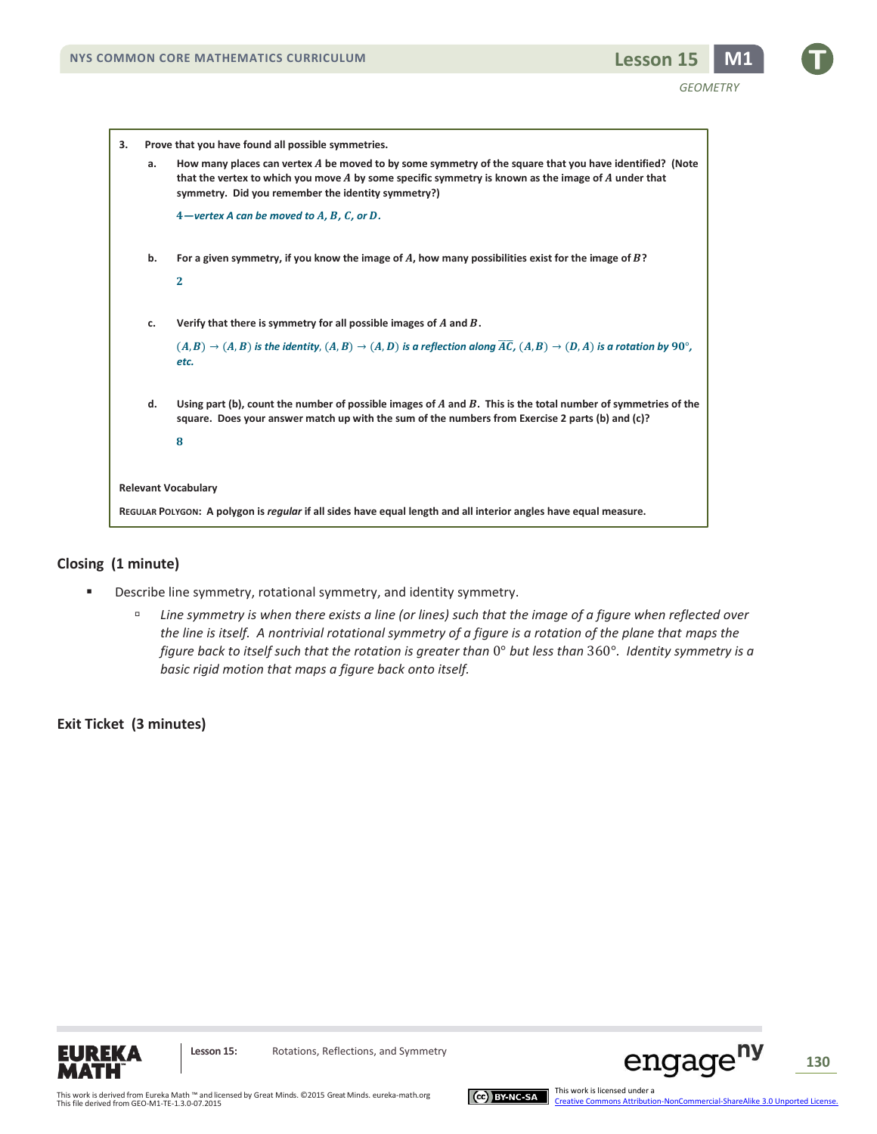*GEOMETRY*

| Prove that you have found all possible symmetries.<br>3.                                                         |    |                                                                                                                                                                                                                                                                          |
|------------------------------------------------------------------------------------------------------------------|----|--------------------------------------------------------------------------------------------------------------------------------------------------------------------------------------------------------------------------------------------------------------------------|
|                                                                                                                  | a. | How many places can vertex A be moved to by some symmetry of the square that you have identified? (Note<br>that the vertex to which you move $A$ by some specific symmetry is known as the image of $A$ under that<br>symmetry. Did you remember the identity symmetry?) |
|                                                                                                                  |    | $4$ -vertex A can be moved to A, B, C, or D.                                                                                                                                                                                                                             |
|                                                                                                                  | b. | For a given symmetry, if you know the image of A, how many possibilities exist for the image of $B$ ?<br>$\mathbf{2}$                                                                                                                                                    |
|                                                                                                                  | c. | Verify that there is symmetry for all possible images of $A$ and $B$ .<br>$(A, B) \rightarrow (A, B)$ is the identity, $(A, B) \rightarrow (A, D)$ is a reflection along $\overline{AC}$ , $(A, B) \rightarrow (D, A)$ is a rotation by 90°,<br>etc.                     |
|                                                                                                                  | d. | Using part (b), count the number of possible images of $A$ and $B$ . This is the total number of symmetries of the<br>square. Does your answer match up with the sum of the numbers from Exercise 2 parts (b) and (c)?<br>8                                              |
| <b>Relevant Vocabulary</b>                                                                                       |    |                                                                                                                                                                                                                                                                          |
| REGULAR POLYGON: A polygon is regular if all sides have equal length and all interior angles have equal measure. |    |                                                                                                                                                                                                                                                                          |

### **Closing (1 minute)**

- **EXEDENTIFY** Describe line symmetry, rotational symmetry, and identity symmetry.
	- *Line symmetry is when there exists a line (or lines) such that the image of a figure when reflected over the line is itself. A nontrivial rotational symmetry of a figure is a rotation of the plane that maps the figure back to itself such that the rotation is greater than* 0° *but less than* 360°*. Identity symmetry is a basic rigid motion that maps a figure back onto itself.*

# **Exit Ticket (3 minutes)**





**130**

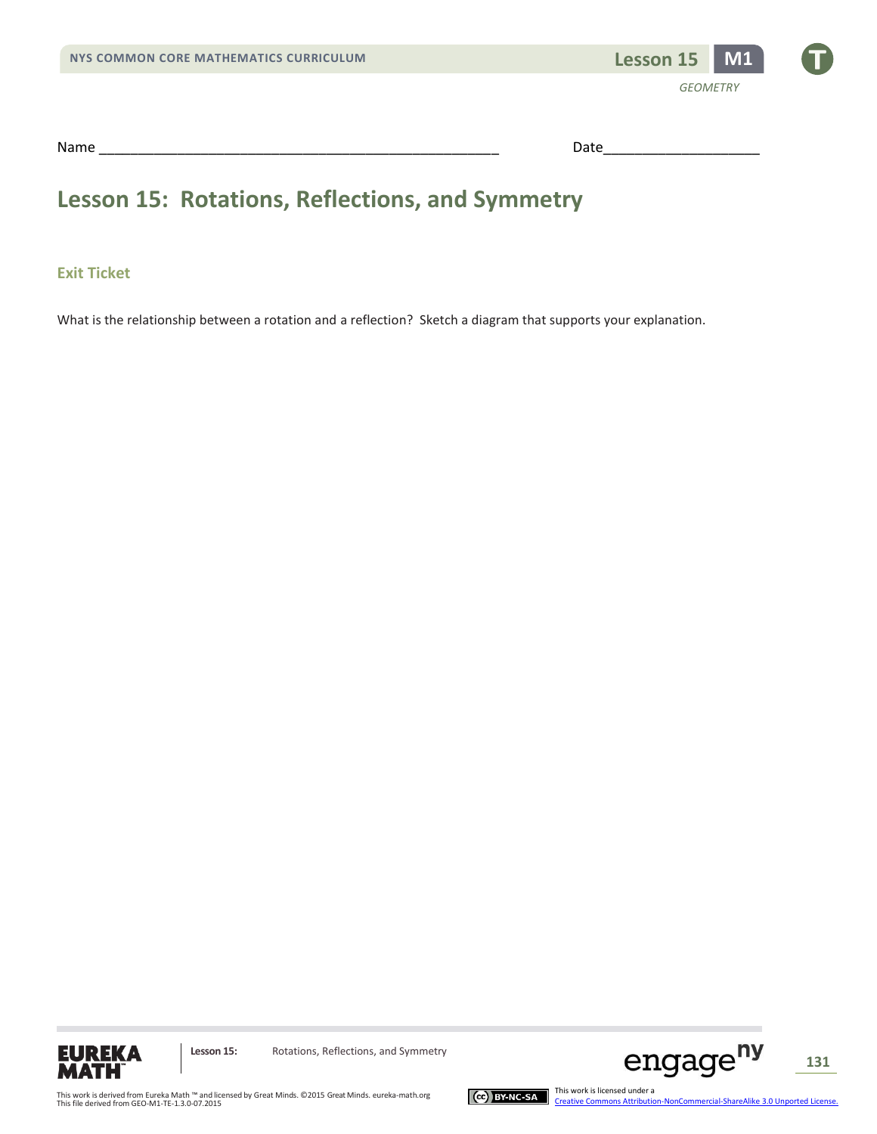

Name \_\_\_\_\_\_\_\_\_\_\_\_\_\_\_\_\_\_\_\_\_\_\_\_\_\_\_\_\_\_\_\_\_\_\_\_\_\_\_\_\_\_\_\_\_\_\_\_\_\_\_ Date\_\_\_\_\_\_\_\_\_\_\_\_\_\_\_\_\_\_\_\_

# **Lesson 15: Rotations, Reflections, and Symmetry**

# **Exit Ticket**

What is the relationship between a rotation and a reflection? Sketch a diagram that supports your explanation.





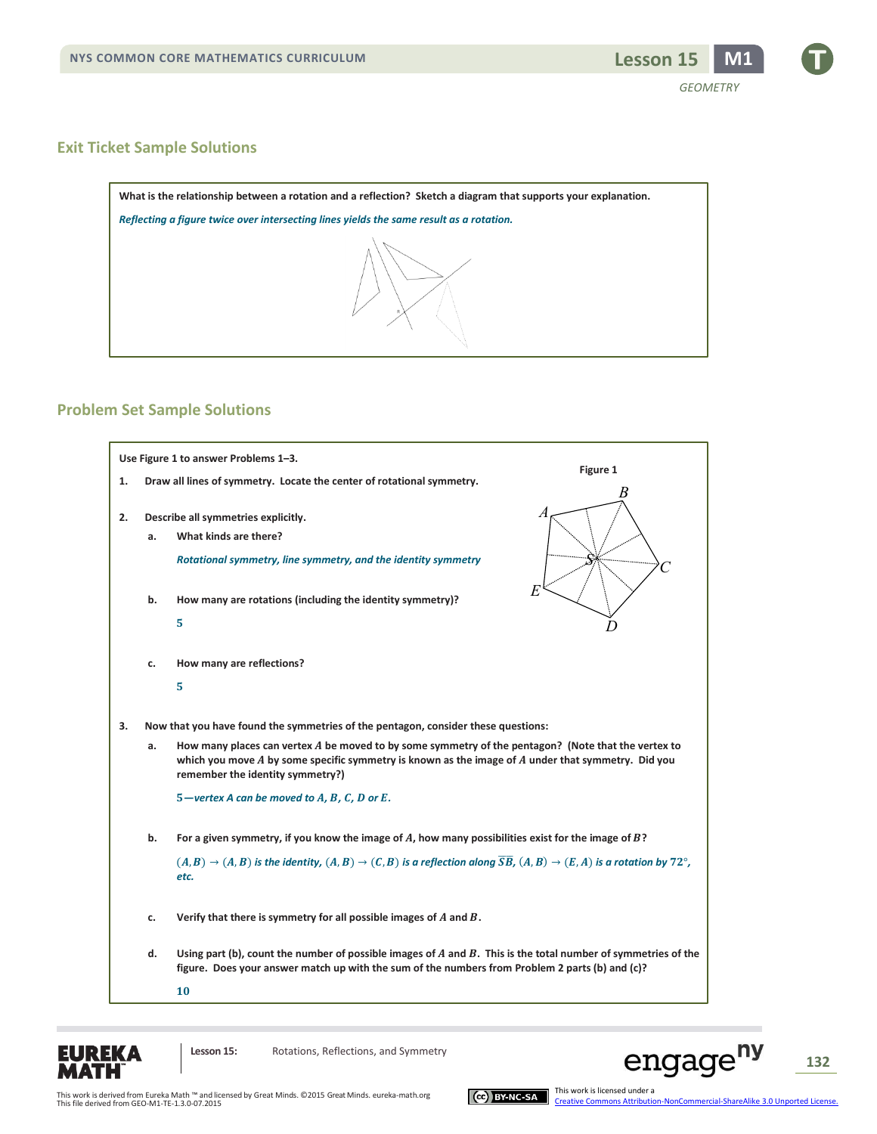

#### **Exit Ticket Sample Solutions**



#### **Problem Set Sample Solutions**





**Lesson 15:** Rotations, Reflections, and Symmetry



engage<sup>ny</sup>

**132**